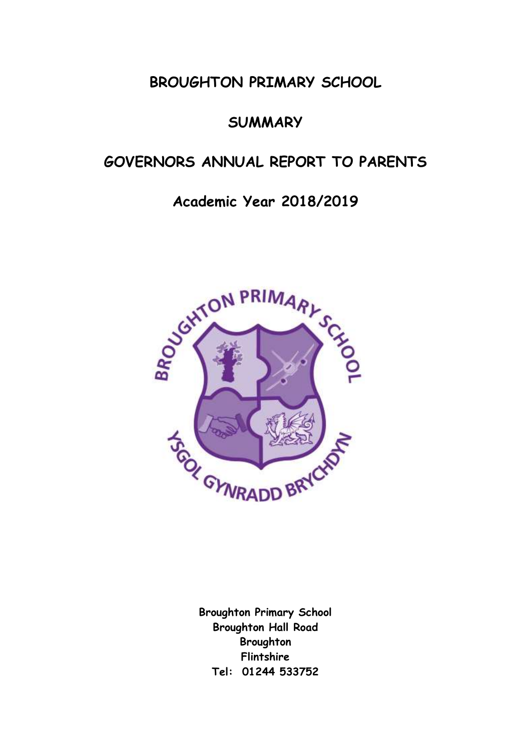# **BROUGHTON PRIMARY SCHOOL**

# **SUMMARY**

# **GOVERNORS ANNUAL REPORT TO PARENTS**

# **Academic Year 2018/2019**



**Broughton Primary School Broughton Hall Road Broughton Flintshire Tel: 01244 533752**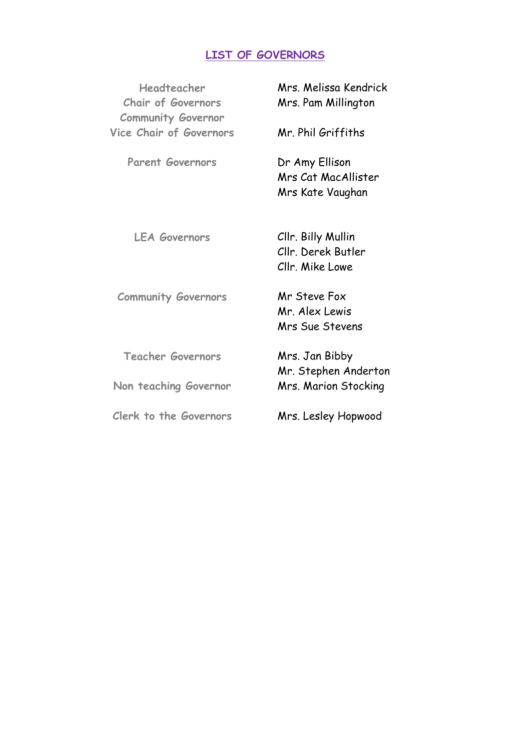# **LIST OF GOVERNORS**

| Headteacher<br><b>Chair of Governors</b><br><b>Community Governor</b> | Mrs. Melissa Kendrick<br>Mrs. Pam Millington                |
|-----------------------------------------------------------------------|-------------------------------------------------------------|
| <b>Vice Chair of Governors</b>                                        | Mr. Phil Griffiths                                          |
| <b>Parent Governors</b>                                               | Dr Amy Ellison<br>Mrs Cat MacAllister<br>Mrs Kate Vaughan   |
| <b>LEA Governors</b>                                                  | Cllr. Billy Mullin<br>Cllr. Derek Butler<br>Cllr. Mike Lowe |
| <b>Community Governors</b>                                            | Mr Steve Fox<br>Mr. Alex Lewis<br>Mrs Sue Stevens           |
| <b>Teacher Governors</b>                                              | Mrs. Jan Bibby<br>Mr. Stephen Anderton                      |
| Non teaching Governor                                                 | Mrs. Marion Stocking                                        |
| Clerk to the Governors                                                | Mrs. Lesley Hopwood                                         |
|                                                                       |                                                             |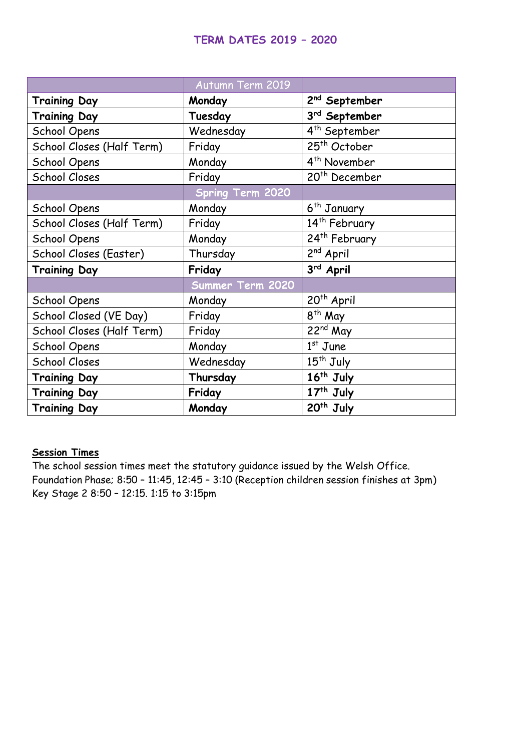## **TERM DATES 2019 – 2020**

|                           | Autumn Term 2019        |                           |
|---------------------------|-------------------------|---------------------------|
| <b>Training Day</b>       | Monday                  | 2 <sup>nd</sup> September |
| <b>Training Day</b>       | Tuesday                 | 3rd September             |
| School Opens              | Wednesday               | $4^{\text{th}}$ September |
| School Closes (Half Term) | Friday                  | 25 <sup>th</sup> October  |
| School Opens              | Monday                  | 4 <sup>th</sup> November  |
| <b>School Closes</b>      | Friday                  | 20 <sup>th</sup> December |
|                           | <b>Spring Term 2020</b> |                           |
| School Opens              | Monday                  | 6 <sup>th</sup> January   |
| School Closes (Half Term) | Friday                  | 14 <sup>th</sup> February |
| School Opens              | Monday                  | 24 <sup>th</sup> February |
| School Closes (Easter)    | Thursday                | 2 <sup>nd</sup> April     |
| <b>Training Day</b>       | Friday                  | 3rd April                 |
|                           | Summer Term 2020        |                           |
| School Opens              | Monday                  | 20 <sup>th</sup> April    |
| School Closed (VE Day)    | Friday                  | 8 <sup>th</sup> May       |
| School Closes (Half Term) | Friday                  | 22 <sup>nd</sup> May      |
| School Opens              | Monday                  | $1st$ June                |
| <b>School Closes</b>      | Wednesday               | 15 <sup>th</sup> July     |
| <b>Training Day</b>       | Thursday                | 16 <sup>th</sup> July     |
| <b>Training Day</b>       | Friday                  | 17 <sup>th</sup> July     |
| <b>Training Day</b>       | Monday                  | 20 <sup>th</sup> July     |

### **Session Times**

The school session times meet the statutory guidance issued by the Welsh Office. Foundation Phase; 8:50 – 11:45, 12:45 – 3:10 (Reception children session finishes at 3pm) Key Stage 2 8:50 – 12:15. 1:15 to 3:15pm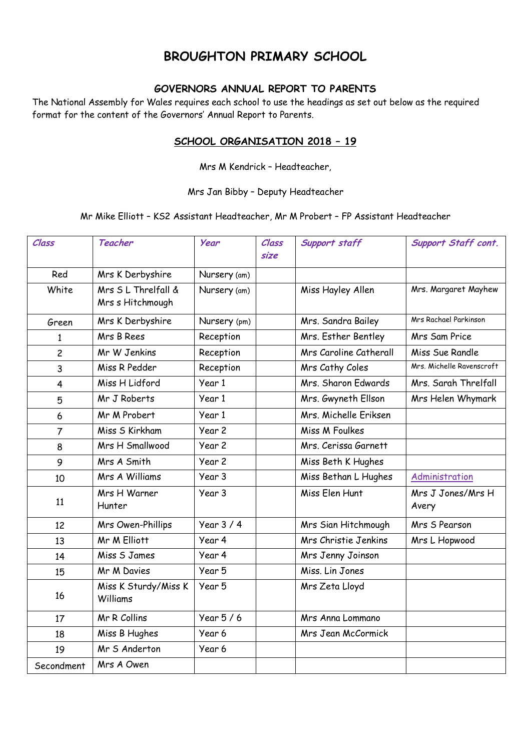# **BROUGHTON PRIMARY SCHOOL**

### **GOVERNORS ANNUAL REPORT TO PARENTS**

The National Assembly for Wales requires each school to use the headings as set out below as the required format for the content of the Governors' Annual Report to Parents.

#### **SCHOOL ORGANISATION 2018 – 19**

Mrs M Kendrick – Headteacher,

#### Mrs Jan Bibby – Deputy Headteacher

#### Mr Mike Elliott – KS2 Assistant Headteacher, Mr M Probert – FP Assistant Headteacher

| Class          | Teacher                                | Year              | Class<br>size | Support staff          | <b>Support Staff cont.</b> |
|----------------|----------------------------------------|-------------------|---------------|------------------------|----------------------------|
| Red            | Mrs K Derbyshire                       | Nursery (am)      |               |                        |                            |
| White          | Mrs SL Threlfall &<br>Mrs s Hitchmough | Nursery (am)      |               | Miss Hayley Allen      | Mrs. Margaret Mayhew       |
| Green          | Mrs K Derbyshire                       | Nursery (pm)      |               | Mrs. Sandra Bailey     | Mrs Rachael Parkinson      |
| $\mathbf{1}$   | Mrs B Rees                             | Reception         |               | Mrs. Esther Bentley    | Mrs Sam Price              |
| $\overline{c}$ | Mr W Jenkins                           | Reception         |               | Mrs Caroline Catherall | Miss Sue Randle            |
| $\overline{3}$ | Miss R Pedder                          | Reception         |               | Mrs Cathy Coles        | Mrs. Michelle Ravenscroft  |
| 4              | Miss H Lidford                         | Year 1            |               | Mrs. Sharon Edwards    | Mrs. Sarah Threlfall       |
| 5              | Mr J Roberts                           | Year 1            |               | Mrs. Gwyneth Ellson    | Mrs Helen Whymark          |
| 6              | Mr M Probert                           | Year 1            |               | Mrs. Michelle Eriksen  |                            |
| $\overline{7}$ | Miss S Kirkham                         | Year 2            |               | Miss M Foulkes         |                            |
| 8              | Mrs H Smallwood                        | Year 2            |               | Mrs. Cerissa Garnett   |                            |
| 9              | Mrs A Smith                            | Year <sub>2</sub> |               | Miss Beth K Hughes     |                            |
| 10             | Mrs A Williams                         | Year 3            |               | Miss Bethan L Hughes   | Administration             |
| 11             | Mrs H Warner<br>Hunter                 | Year 3            |               | Miss Elen Hunt         | Mrs J Jones/Mrs H<br>Avery |
| 12             | Mrs Owen-Phillips                      | Year $3/4$        |               | Mrs Sian Hitchmough    | Mrs S Pearson              |
| 13             | Mr M Elliott                           | Year 4            |               | Mrs Christie Jenkins   | Mrs L Hopwood              |
| 14             | Miss S James                           | Year 4            |               | Mrs Jenny Joinson      |                            |
| 15             | Mr M Davies                            | Year 5            |               | Miss. Lin Jones        |                            |
| 16             | Miss K Sturdy/Miss K<br>Williams       | Year 5            |               | Mrs Zeta Lloyd         |                            |
| 17             | Mr R Collins                           | Year $5/6$        |               | Mrs Anna Lommano       |                            |
| 18             | Miss B Hughes                          | Year 6            |               | Mrs Jean McCormick     |                            |
| 19             | Mr S Anderton                          | Year 6            |               |                        |                            |
| Secondment     | Mrs A Owen                             |                   |               |                        |                            |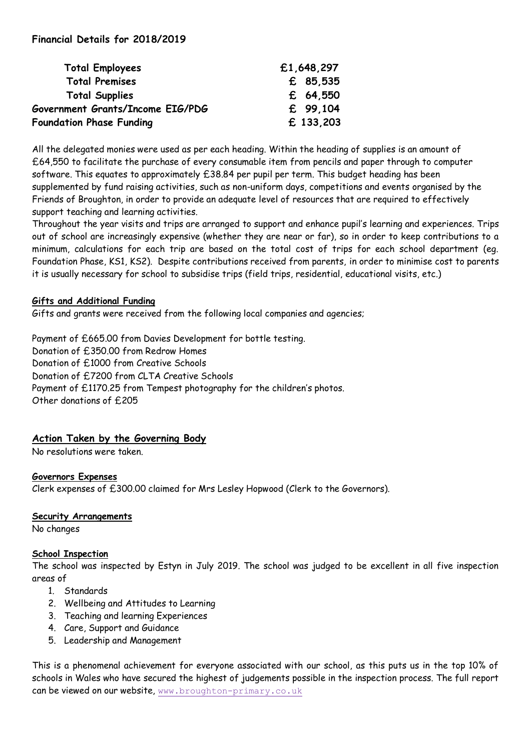### **Financial Details for 2018/2019**

| <b>Total Employees</b>           | £1,648,297 |
|----------------------------------|------------|
| <b>Total Premises</b>            | £ 85,535   |
| <b>Total Supplies</b>            | £ 64,550   |
| Government Grants/Income EIG/PDG | £ 99.104   |
| <b>Foundation Phase Funding</b>  | £ 133,203  |

All the delegated monies were used as per each heading. Within the heading of supplies is an amount of £64,550 to facilitate the purchase of every consumable item from pencils and paper through to computer software. This equates to approximately £38.84 per pupil per term. This budget heading has been supplemented by fund raising activities, such as non-uniform days, competitions and events organised by the Friends of Broughton, in order to provide an adequate level of resources that are required to effectively support teaching and learning activities.

Throughout the year visits and trips are arranged to support and enhance pupil's learning and experiences. Trips out of school are increasingly expensive (whether they are near or far), so in order to keep contributions to a minimum, calculations for each trip are based on the total cost of trips for each school department (eg. Foundation Phase, KS1, KS2). Despite contributions received from parents, in order to minimise cost to parents it is usually necessary for school to subsidise trips (field trips, residential, educational visits, etc.)

#### **Gifts and Additional Funding**

Gifts and grants were received from the following local companies and agencies;

Payment of £665.00 from Davies Development for bottle testing. Donation of £350.00 from Redrow Homes Donation of £1000 from Creative Schools Donation of £7200 from CLTA Creative Schools Payment of £1170.25 from Tempest photography for the children's photos. Other donations of £205

### **Action Taken by the Governing Body**

No resolutions were taken.

#### **Governors Expenses**

Clerk expenses of £300.00 claimed for Mrs Lesley Hopwood (Clerk to the Governors).

#### **Security Arrangements**

No changes

### **School Inspection**

The school was inspected by Estyn in July 2019. The school was judged to be excellent in all five inspection areas of

- 1. Standards
- 2. Wellbeing and Attitudes to Learning
- 3. Teaching and learning Experiences
- 4. Care, Support and Guidance
- 5. Leadership and Management

This is a phenomenal achievement for everyone associated with our school, as this puts us in the top 10% of schools in Wales who have secured the highest of judgements possible in the inspection process. The full report can be viewed on our website, [www.broughton-primary.co.uk](http://www.broughton-primary.co.uk/)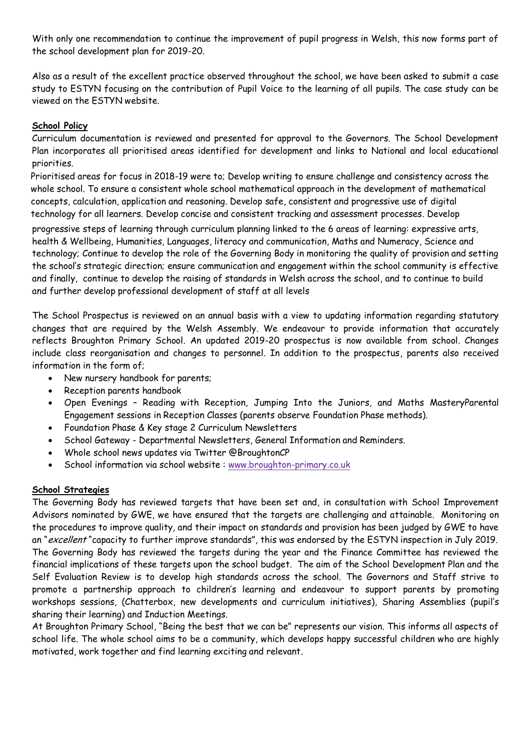With only one recommendation to continue the improvement of pupil progress in Welsh, this now forms part of the school development plan for 2019-20.

Also as a result of the excellent practice observed throughout the school, we have been asked to submit a case study to ESTYN focusing on the contribution of Pupil Voice to the learning of all pupils. The case study can be viewed on the ESTYN website.

#### **School Policy**

Curriculum documentation is reviewed and presented for approval to the Governors. The School Development Plan incorporates all prioritised areas identified for development and links to National and local educational priorities.

Prioritised areas for focus in 2018-19 were to; Develop writing to ensure challenge and consistency across the whole school. To ensure a consistent whole school mathematical approach in the development of mathematical concepts, calculation, application and reasoning. Develop safe, consistent and progressive use of digital technology for all learners. Develop concise and consistent tracking and assessment processes. Develop

progressive steps of learning through curriculum planning linked to the 6 areas of learning: expressive arts, progressive health & Wellbeing, Humanities, Languages, literacy and communication, Maths and Numeracy, Science and technology; Continue to develop the role of the Governing Body in monitoring the quality of provision and setting the school's strategic direction; ensure communication and engagement within the school community is effective and finally, continue to develop the raising of standards in Welsh across the school, and to continue to build and further develop professional development of staff at all levels

The School Prospectus is reviewed on an annual basis with a view to updating information regarding statutory changes that are required by the Welsh Assembly. We endeavour to provide information that accurately reflects Broughton Primary School. An updated 2019-20 prospectus is now available from school. Changes include class reorganisation and changes to personnel. In addition to the prospectus, parents also received information in the form of; whole school approach to developing a developing and mathematical concepts,  $\mathbf{r}$ 

• New nursery handbook for parents; strengthen function and reasoning of all new mursery

sharing their learning) and Induction Meetings.

- Reception parents handbook
- Open Evenings Reading with Reception, Jumping Into the Juniors, and Maths MasteryParental Engagement sessions in Reception Classes (parents observe Foundation Phase methods).
- Foundation Phase & Key stage 2 Curriculum Newsletters
- School Gateway Departmental Newsletters, General Information and Reminders.
- Whole school news updates via Twitter @BroughtonCP
- School information via school website : [www.broughton-primary.co.uk](http://www.broughton-primary.co.uk/)

### **School Strategies**

The Governing Body has reviewed targets that have been set and, in consultation with School Improvement Advisors nominated by GWE, we have ensured that the targets are challenging and attainable. Monitoring on the procedures to improve quality, and their impact on standards and provision has been judged by GWE to have an "excellent" capacity to further improve standards", this was endorsed by the ESTYN inspection in July 2019. The Governing Body has reviewed the targets during the year and the Finance Committee has reviewed the financial implications of these targets upon the school budget. The aim of the School Development Plan and the Self Evaluation Review is to develop high standards across the school. The Governors and Staff strive to promote a partnership approach to children's learning and endeavour to support parents by promoting workshops sessions, (Chatterbox, new developments and curriculum initiatives), Sharing Assemblies (pupil's

At Broughton Primary School, "Being the best that we can be" represents our vision. This informs all aspects of school life. The whole school aims to be a community, which develops happy successful children who are highly motivated, work together and find learning exciting and relevant.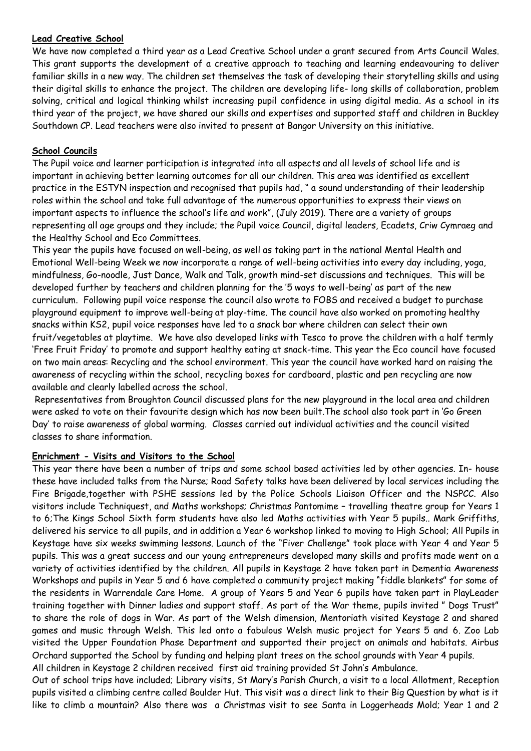#### **Lead Creative School**

We have now completed a third year as a Lead Creative School under a grant secured from Arts Council Wales. This grant supports the development of a creative approach to teaching and learning endeavouring to deliver familiar skills in a new way. The children set themselves the task of developing their storytelling skills and using their digital skills to enhance the project. The children are developing life- long skills of collaboration, problem solving, critical and logical thinking whilst increasing pupil confidence in using digital media. As a school in its third year of the project, we have shared our skills and expertises and supported staff and children in Buckley Southdown CP. Lead teachers were also invited to present at Bangor University on this initiative.

#### **School Councils**

The Pupil voice and learner participation is integrated into all aspects and all levels of school life and is important in achieving better learning outcomes for all our children. This area was identified as excellent practice in the ESTYN inspection and recognised that pupils had, " a sound understanding of their leadership roles within the school and take full advantage of the numerous opportunities to express their views on important aspects to influence the school's life and work", (July 2019). There are a variety of groups representing all age groups and they include; the Pupil voice Council, digital leaders, Ecadets, Criw Cymraeg and the Healthy School and Eco Committees.

This year the pupils have focused on well-being, as well as taking part in the national Mental Health and Emotional Well-being Week we now incorporate a range of well-being activities into every day including, yoga, mindfulness, Go-noodle, Just Dance, Walk and Talk, growth mind-set discussions and techniques. This will be developed further by teachers and children planning for the '5 ways to well-being' as part of the new curriculum. Following pupil voice response the council also wrote to FOBS and received a budget to purchase playground equipment to improve well-being at play-time. The council have also worked on promoting healthy snacks within KS2, pupil voice responses have led to a snack bar where children can select their own fruit/vegetables at playtime. We have also developed links with Tesco to prove the children with a half termly 'Free Fruit Friday' to promote and support healthy eating at snack-time. This year the Eco council have focused on two main areas: Recycling and the school environment. This year the council have worked hard on raising the awareness of recycling within the school, recycling boxes for cardboard, plastic and pen recycling are now available and clearly labelled across the school.

Representatives from Broughton Council discussed plans for the new playground in the local area and children were asked to vote on their favourite design which has now been built.The school also took part in 'Go Green Day' to raise awareness of global warming. Classes carried out individual activities and the council visited classes to share information.

### **Enrichment - Visits and Visitors to the School**

This year there have been a number of trips and some school based activities led by other agencies. In- house these have included talks from the Nurse; Road Safety talks have been delivered by local services including the Fire Brigade,together with PSHE sessions led by the Police Schools Liaison Officer and the NSPCC. Also visitors include Techniquest, and Maths workshops; Christmas Pantomime – travelling theatre group for Years 1 to 6;The Kings School Sixth form students have also led Maths activities with Year 5 pupils.. Mark Griffiths, delivered his service to all pupils, and in addition a Year 6 workshop linked to moving to High School; All Pupils in Keystage have six weeks swimming lessons. Launch of the "Fiver Challenge" took place with Year 4 and Year 5 pupils. This was a great success and our young entrepreneurs developed many skills and profits made went on a variety of activities identified by the children. All pupils in Keystage 2 have taken part in Dementia Awareness Workshops and pupils in Year 5 and 6 have completed a community project making "fiddle blankets" for some of the residents in Warrendale Care Home. A group of Years 5 and Year 6 pupils have taken part in PlayLeader training together with Dinner ladies and support staff. As part of the War theme, pupils invited " Dogs Trust" to share the role of dogs in War. As part of the Welsh dimension, Mentoriath visited Keystage 2 and shared games and music through Welsh. This led onto a fabulous Welsh music project for Years 5 and 6. Zoo Lab visited the Upper Foundation Phase Department and supported their project on animals and habitats. Airbus Orchard supported the School by funding and helping plant trees on the school grounds with Year 4 pupils. All children in Keystage 2 children received first aid training provided St John's Ambulance.

Out of school trips have included; Library visits, St Mary's Parish Church, a visit to a local Allotment, Reception pupils visited a climbing centre called Boulder Hut. This visit was a direct link to their Big Question by what is it like to climb a mountain? Also there was a Christmas visit to see Santa in Loggerheads Mold; Year 1 and 2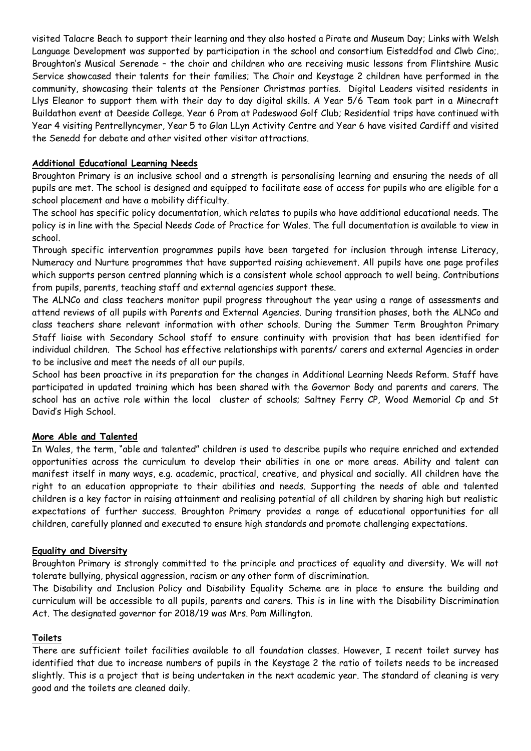visited Talacre Beach to support their learning and they also hosted a Pirate and Museum Day; Links with Welsh Language Development was supported by participation in the school and consortium Eisteddfod and Clwb Cino;. Broughton's Musical Serenade – the choir and children who are receiving music lessons from Flintshire Music Service showcased their talents for their families; The Choir and Keystage 2 children have performed in the community, showcasing their talents at the Pensioner Christmas parties. Digital Leaders visited residents in Llys Eleanor to support them with their day to day digital skills. A Year 5/6 Team took part in a Minecraft Buildathon event at Deeside College. Year 6 Prom at Padeswood Golf Club; Residential trips have continued with Year 4 visiting Pentrellyncymer, Year 5 to Glan LLyn Activity Centre and Year 6 have visited Cardiff and visited the Senedd for debate and other visited other visitor attractions.

#### **Additional Educational Learning Needs**

Broughton Primary is an inclusive school and a strength is personalising learning and ensuring the needs of all pupils are met. The school is designed and equipped to facilitate ease of access for pupils who are eligible for a school placement and have a mobility difficulty.

The school has specific policy documentation, which relates to pupils who have additional educational needs. The policy is in line with the Special Needs Code of Practice for Wales. The full documentation is available to view in school.

Through specific intervention programmes pupils have been targeted for inclusion through intense Literacy, Numeracy and Nurture programmes that have supported raising achievement. All pupils have one page profiles which supports person centred planning which is a consistent whole school approach to well being. Contributions from pupils, parents, teaching staff and external agencies support these.

The ALNCo and class teachers monitor pupil progress throughout the year using a range of assessments and attend reviews of all pupils with Parents and External Agencies. During transition phases, both the ALNCo and class teachers share relevant information with other schools. During the Summer Term Broughton Primary Staff liaise with Secondary School staff to ensure continuity with provision that has been identified for individual children. The School has effective relationships with parents/ carers and external Agencies in order to be inclusive and meet the needs of all our pupils.

School has been proactive in its preparation for the changes in Additional Learning Needs Reform. Staff have participated in updated training which has been shared with the Governor Body and parents and carers. The school has an active role within the local cluster of schools; Saltney Ferry CP, Wood Memorial Cp and St David's High School.

#### **More Able and Talented**

In Wales, the term, "able and talented" children is used to describe pupils who require enriched and extended opportunities across the curriculum to develop their abilities in one or more areas. Ability and talent can manifest itself in many ways, e.g. academic, practical, creative, and physical and socially. All children have the right to an education appropriate to their abilities and needs. Supporting the needs of able and talented children is a key factor in raising attainment and realising potential of all children by sharing high but realistic expectations of further success. Broughton Primary provides a range of educational opportunities for all children, carefully planned and executed to ensure high standards and promote challenging expectations.

#### **Equality and Diversity**

Broughton Primary is strongly committed to the principle and practices of equality and diversity. We will not tolerate bullying, physical aggression, racism or any other form of discrimination.

The Disability and Inclusion Policy and Disability Equality Scheme are in place to ensure the building and curriculum will be accessible to all pupils, parents and carers. This is in line with the Disability Discrimination Act. The designated governor for 2018/19 was Mrs. Pam Millington.

#### **Toilets**

There are sufficient toilet facilities available to all foundation classes. However, I recent toilet survey has identified that due to increase numbers of pupils in the Keystage 2 the ratio of toilets needs to be increased slightly. This is a project that is being undertaken in the next academic year. The standard of cleaning is very good and the toilets are cleaned daily.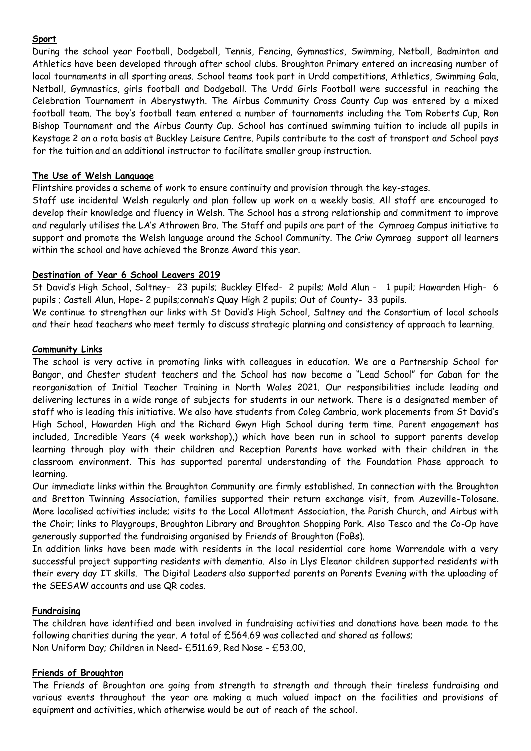#### **Sport**

During the school year Football, Dodgeball, Tennis, Fencing, Gymnastics, Swimming, Netball, Badminton and Athletics have been developed through after school clubs. Broughton Primary entered an increasing number of local tournaments in all sporting areas. School teams took part in Urdd competitions, Athletics, Swimming Gala, Netball, Gymnastics, girls football and Dodgeball. The Urdd Girls Football were successful in reaching the Celebration Tournament in Aberystwyth. The Airbus Community Cross County Cup was entered by a mixed football team. The boy's football team entered a number of tournaments including the Tom Roberts Cup, Ron Bishop Tournament and the Airbus County Cup. School has continued swimming tuition to include all pupils in Keystage 2 on a rota basis at Buckley Leisure Centre. Pupils contribute to the cost of transport and School pays for the tuition and an additional instructor to facilitate smaller group instruction.

#### **The Use of Welsh Language**

Flintshire provides a scheme of work to ensure continuity and provision through the key-stages.

Staff use incidental Welsh regularly and plan follow up work on a weekly basis. All staff are encouraged to develop their knowledge and fluency in Welsh. The School has a strong relationship and commitment to improve and regularly utilises the LA's Athrowen Bro. The Staff and pupils are part of the Cymraeg Campus initiative to support and promote the Welsh language around the School Community. The Criw Cymraeg support all learners within the school and have achieved the Bronze Award this year.

#### **Destination of Year 6 School Leavers 2019**

St David's High School, Saltney- 23 pupils; Buckley Elfed- 2 pupils; Mold Alun - 1 pupil; Hawarden High- 6 pupils ; Castell Alun, Hope- 2 pupils;connah's Quay High 2 pupils; Out of County- 33 pupils.

We continue to strengthen our links with St David's High School, Saltney and the Consortium of local schools and their head teachers who meet termly to discuss strategic planning and consistency of approach to learning.

#### **Community Links**

The school is very active in promoting links with colleagues in education. We are a Partnership School for Bangor, and Chester student teachers and the School has now become a "Lead School" for Caban for the reorganisation of Initial Teacher Training in North Wales 2021. Our responsibilities include leading and delivering lectures in a wide range of subjects for students in our network. There is a designated member of staff who is leading this initiative. We also have students from Coleg Cambria, work placements from St David's High School, Hawarden High and the Richard Gwyn High School during term time. Parent engagement has included, Incredible Years (4 week workshop),) which have been run in school to support parents develop learning through play with their children and Reception Parents have worked with their children in the classroom environment. This has supported parental understanding of the Foundation Phase approach to learning.

Our immediate links within the Broughton Community are firmly established. In connection with the Broughton and Bretton Twinning Association, families supported their return exchange visit, from Auzeville-Tolosane. More localised activities include; visits to the Local Allotment Association, the Parish Church, and Airbus with the Choir; links to Playgroups, Broughton Library and Broughton Shopping Park. Also Tesco and the Co-Op have generously supported the fundraising organised by Friends of Broughton (FoBs).

In addition links have been made with residents in the local residential care home Warrendale with a very successful project supporting residents with dementia. Also in Llys Eleanor children supported residents with their every day IT skills. The Digital Leaders also supported parents on Parents Evening with the uploading of the SEESAW accounts and use QR codes.

#### **Fundraising**

The children have identified and been involved in fundraising activities and donations have been made to the following charities during the year. A total of £564.69 was collected and shared as follows; Non Uniform Day; Children in Need- £511.69, Red Nose - £53.00,

#### **Friends of Broughton**

The Friends of Broughton are going from strength to strength and through their tireless fundraising and various events throughout the year are making a much valued impact on the facilities and provisions of equipment and activities, which otherwise would be out of reach of the school.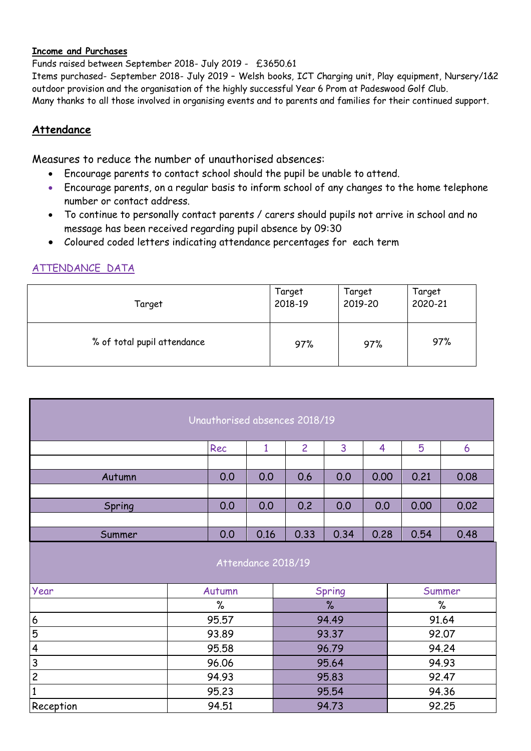#### **Income and Purchases**

Funds raised between September 2018- July 2019 - £3650.61

Items purchased- September 2018- July 2019 – Welsh books, ICT Charging unit, Play equipment, Nursery/1&2 outdoor provision and the organisation of the highly successful Year 6 Prom at Padeswood Golf Club. Many thanks to all those involved in organising events and to parents and families for their continued support.

### **Attendance**

Measures to reduce the number of unauthorised absences:

- Encourage parents to contact school should the pupil be unable to attend.
- Encourage parents, on a regular basis to inform school of any changes to the home telephone number or contact address.
- To continue to personally contact parents / carers should pupils not arrive in school and no message has been received regarding pupil absence by 09:30
- Coloured coded letters indicating attendance percentages for each term

# ATTENDANCE DATA

| Target                      | Target  | Target  | Target  |  |  |
|-----------------------------|---------|---------|---------|--|--|
|                             | 2018-19 | 2019-20 | 2020-21 |  |  |
| % of total pupil attendance | 97%     | 97%     | 97%     |  |  |

| Unauthorised absences 2018/19                             |       |        |                    |      |        |      |        |       |  |  |  |
|-----------------------------------------------------------|-------|--------|--------------------|------|--------|------|--------|-------|--|--|--|
| Rec<br>$\overline{2}$<br>3<br>5<br>$\mathbf{1}$<br>4<br>6 |       |        |                    |      |        |      |        |       |  |  |  |
|                                                           |       |        |                    |      |        |      |        |       |  |  |  |
| Autumn                                                    |       | 0.0    | 0.0                | 0.6  | 0.0    | 0.00 | 0.21   | 0.08  |  |  |  |
|                                                           |       |        |                    |      |        |      |        |       |  |  |  |
| Spring                                                    |       | 0.0    | 0.0                | 0.2  | 0.0    | 0.0  | 0.00   | 0.02  |  |  |  |
|                                                           |       |        |                    |      |        |      |        |       |  |  |  |
| Summer                                                    | 0.0   | 0.16   | 0.33               | 0.34 | 0.28   | 0.54 | 0.48   |       |  |  |  |
|                                                           |       |        | Attendance 2018/19 |      |        |      |        |       |  |  |  |
| Year                                                      |       | Autumn |                    |      | Spring |      | Summer |       |  |  |  |
|                                                           |       | %      |                    |      | $\%$   |      | %      |       |  |  |  |
| $\boldsymbol{6}$                                          |       | 95.57  |                    |      | 94.49  |      | 91.64  |       |  |  |  |
| 5                                                         |       | 93.89  |                    |      | 93.37  |      | 92.07  |       |  |  |  |
| $\overline{\mathbf{4}}$                                   | 95.58 |        |                    |      |        |      | 94.24  |       |  |  |  |
| $\overline{3}$                                            | 96.06 |        |                    |      | 95.64  |      | 94.93  |       |  |  |  |
| $\overline{c}$                                            | 94.93 |        |                    |      | 95.83  |      | 92.47  |       |  |  |  |
| $\mathbf{1}$                                              |       | 95.23  |                    |      | 95.54  |      | 94.36  |       |  |  |  |
| Reception                                                 |       | 94.51  |                    |      | 94.73  |      |        | 92.25 |  |  |  |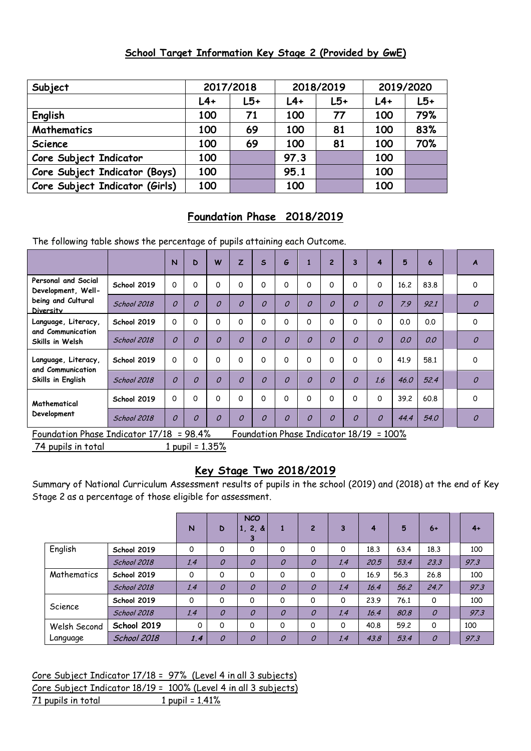### **School Target Information Key Stage 2 (Provided by GwE)**

| Subject                        |       | 2017/2018 |       | 2018/2019 |       | 2019/2020 |
|--------------------------------|-------|-----------|-------|-----------|-------|-----------|
|                                | $L4+$ | $L5+$     | $L4+$ | $L5+$     | $L4+$ | $L5+$     |
| English                        | 100   | 71        | 100   | 77        | 100   | 79%       |
| Mathematics                    | 100   | 69        | 100   | 81        | 100   | 83%       |
| Science                        | 100   | 69        | 100   | 81        | 100   | 70%       |
| Core Subject Indicator         | 100   |           | 97.3  |           | 100   |           |
| Core Subject Indicator (Boys)  | 100   |           | 95.1  |           | 100   |           |
| Core Subject Indicator (Girls) | 100   |           | 100   |           | 100   |           |

# **Foundation Phase 2018/2019**

The following table shows the percentage of pupils attaining each Outcome.

|                                                               |                    | $\overline{N}$ | D              | W              | $\overline{z}$ | $\mathsf{s}$   | G              |                | $\overline{2}$ | 3              | 4              | 5    | 6    | A             |
|---------------------------------------------------------------|--------------------|----------------|----------------|----------------|----------------|----------------|----------------|----------------|----------------|----------------|----------------|------|------|---------------|
| Personal and Social<br>Development, Well-                     | School 2019        | O              | 0              | $\Omega$       | 0              | O              | 0              | 0              | 0              | 0              | 0              | 16.2 | 83.8 | 0             |
| being and Cultural<br>Diversity                               | <b>School 2018</b> | $\overline{O}$ | $\overline{O}$ | 0              | $\overline{O}$ | $\overline{O}$ | $\overline{O}$ | 0              | $\overline{O}$ | $\overline{O}$ | $\overline{O}$ | 7.9  | 92.1 | $\mathcal{O}$ |
| Language, Literacy,<br>and Communication<br>Skills in Welsh   | School 2019        | O              | 0              | 0              | 0              | O              | 0              | 0              | O              | 0              | 0              | 0.0  | 0.0  | 0             |
|                                                               | School 2018        | $\Omega$       | $\Omega$       | $\overline{O}$ | $\overline{O}$ | $\overline{O}$ | $\overline{O}$ | $\overline{a}$ | $\Omega$       | $\overline{O}$ | $\overline{O}$ | 0.0  | 0.0  | $\mathcal{O}$ |
| Language, Literacy,<br>and Communication<br>Skills in English | School 2019        | $\Omega$       | 0              | 0              | 0              | O              | 0              | 0              | $\Omega$       | $\Omega$       | 0              | 41.9 | 58.1 | $\mathbf 0$   |
|                                                               | School 2018        | $\Omega$       | $\Omega$       | $\overline{O}$ | $\overline{O}$ | $\overline{O}$ | $\overline{O}$ | $\overline{O}$ | $\overline{O}$ | $\overline{O}$ | 1.6            | 46.0 | 52.4 | $\mathcal{O}$ |
| Mathematical<br>Development                                   | School 2019        | $\Omega$       | 0              | 0              | 0              | O              | 0              | 0              | O              | 0              | O              | 39.2 | 60.8 | $\mathbf 0$   |
|                                                               | <b>School 2018</b> | $\Omega$       | $\overline{O}$ | 0              | 0              | 0              | $\overline{O}$ | 0              | $\overline{O}$ | $\mathcal O$   | 0              | 44.4 | 54.0 | $\mathcal O$  |

Foundation Phase Indicator 17/18 = 98.4% Foundation Phase Indicator 18/19 = 100%

74 pupils in total 1 pupil = 1.35%

## **Key Stage Two 2018/2019**

Summary of National Curriculum Assessment results of pupils in the school (2019) and (2018) at the end of Key Stage 2 as a percentage of those eligible for assessment.

|              |                    | N   | D             | <b>NCO</b><br>1, 2, 8<br>3 | л.             | $\overline{2}$ | 3   | 4    | 5    | $6+$          | $4+$ |
|--------------|--------------------|-----|---------------|----------------------------|----------------|----------------|-----|------|------|---------------|------|
| English      | School 2019        | 0   | 0             | 0                          | 0              | 0              | 0   | 18.3 | 63.4 | 18.3          | 100  |
|              | <b>School 2018</b> | 1.4 | $\mathcal{O}$ | 0                          | $\overline{O}$ | $\mathcal O$   | 1.4 | 20.5 | 53.4 | 23.3          | 97.3 |
| Mathematics  | School 2019        | 0   | $\Omega$      | 0                          | 0              | 0              | 0   | 16.9 | 56.3 | 26.8          | 100  |
|              | School 2018        | 1.4 | $\mathcal{O}$ | $\mathcal O$               | $\overline{O}$ | $\mathcal{O}$  | 1.4 | 16.4 | 56.2 | 24.7          | 97.3 |
|              | School 2019        | 0   | 0             | $\mathbf 0$                | 0              | 0              | 0   | 23.9 | 76.1 | 0             | 100  |
| Science      | <b>School 2018</b> | 1.4 | $\mathcal{O}$ | $\mathcal O$               | $\mathcal O$   | $\mathcal O$   | 1.4 | 16.4 | 80.8 | $\mathcal O$  | 97.3 |
| Welsh Second | School 2019        | 0   | $\Omega$      | 0                          | 0              | 0              | 0   | 40.8 | 59.2 | 0             | 100  |
| Language     | <b>School 2018</b> | 1.4 | $\mathcal{O}$ | $\mathcal O$               | $\overline{O}$ | $\mathcal{O}$  | 1.4 | 43.8 | 53.4 | $\mathcal{O}$ | 97.3 |

Core Subject Indicator 17/18 = 97% (Level 4 in all 3 subjects) Core Subject Indicator 18/19 = 100% (Level 4 in all 3 subjects)  $71$  pupils in total  $1$  pupil =  $1.41\%$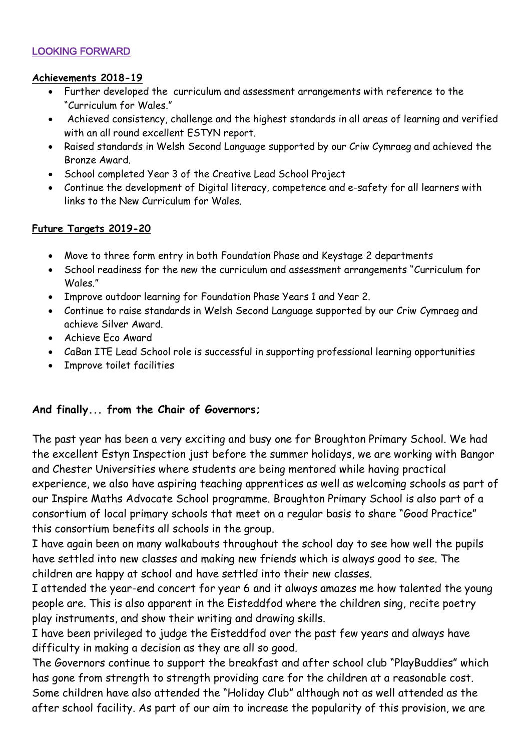### LOOKING FORWARD

### **Achievements 2018-19**

- Further developed the curriculum and assessment arrangements with reference to the "Curriculum for Wales."
- Achieved consistency, challenge and the highest standards in all areas of learning and verified with an all round excellent ESTYN report.
- Raised standards in Welsh Second Language supported by our Criw Cymraeg and achieved the Bronze Award.
- School completed Year 3 of the Creative Lead School Project
- Continue the development of Digital literacy, competence and e-safety for all learners with links to the New Curriculum for Wales.

### **Future Targets 2019-20**

- Move to three form entry in both Foundation Phase and Keystage 2 departments
- School readiness for the new the curriculum and assessment arrangements "Curriculum for Wales<sup>"</sup>
- Improve outdoor learning for Foundation Phase Years 1 and Year 2.
- Continue to raise standards in Welsh Second Language supported by our Criw Cymraeg and achieve Silver Award.
- Achieve Eco Award
- CaBan ITE Lead School role is successful in supporting professional learning opportunities
- Improve toilet facilities

## **And finally... from the Chair of Governors;**

The past year has been a very exciting and busy one for Broughton Primary School. We had the excellent Estyn Inspection just before the summer holidays, we are working with Bangor and Chester Universities where students are being mentored while having practical experience, we also have aspiring teaching apprentices as well as welcoming schools as part of our Inspire Maths Advocate School programme. Broughton Primary School is also part of a consortium of local primary schools that meet on a regular basis to share "Good Practice" this consortium benefits all schools in the group.

I have again been on many walkabouts throughout the school day to see how well the pupils have settled into new classes and making new friends which is always good to see. The children are happy at school and have settled into their new classes.

I attended the year-end concert for year 6 and it always amazes me how talented the young people are. This is also apparent in the Eisteddfod where the children sing, recite poetry play instruments, and show their writing and drawing skills.

I have been privileged to judge the Eisteddfod over the past few years and always have difficulty in making a decision as they are all so good.

The Governors continue to support the breakfast and after school club "PlayBuddies" which has gone from strength to strength providing care for the children at a reasonable cost. Some children have also attended the "Holiday Club" although not as well attended as the after school facility. As part of our aim to increase the popularity of this provision, we are